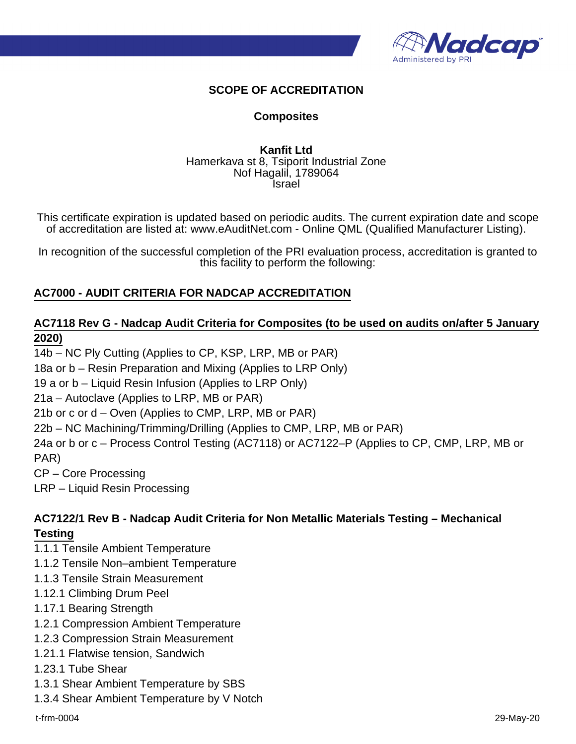

# **SCOPE OF ACCREDITATION**

#### **Composites**

#### **Kanfit Ltd** Hamerkava st 8, Tsiporit Industrial Zone Nof Hagalil, 1789064 Israel

This certificate expiration is updated based on periodic audits. The current expiration date and scope of accreditation are listed at: www.eAuditNet.com - Online QML (Qualified Manufacturer Listing).

In recognition of the successful completion of the PRI evaluation process, accreditation is granted to this facility to perform the following:

### **AC7000 - AUDIT CRITERIA FOR NADCAP ACCREDITATION**

### **AC7118 Rev G - Nadcap Audit Criteria for Composites (to be used on audits on/after 5 January 2020)**

14b – NC Ply Cutting (Applies to CP, KSP, LRP, MB or PAR) 18a or b – Resin Preparation and Mixing (Applies to LRP Only) 19 a or b – Liquid Resin Infusion (Applies to LRP Only) 21a – Autoclave (Applies to LRP, MB or PAR) 21b or c or d – Oven (Applies to CMP, LRP, MB or PAR) 22b – NC Machining/Trimming/Drilling (Applies to CMP, LRP, MB or PAR) 24a or b or c – Process Control Testing (AC7118) or AC7122–P (Applies to CP, CMP, LRP, MB or PAR) CP – Core Processing

LRP – Liquid Resin Processing

# **AC7122/1 Rev B - Nadcap Audit Criteria for Non Metallic Materials Testing – Mechanical Testing**

- 1.1.1 Tensile Ambient Temperature
- 1.1.2 Tensile Non–ambient Temperature
- 1.1.3 Tensile Strain Measurement
- 1.12.1 Climbing Drum Peel
- 1.17.1 Bearing Strength
- 1.2.1 Compression Ambient Temperature
- 1.2.3 Compression Strain Measurement
- 1.21.1 Flatwise tension, Sandwich
- 1.23.1 Tube Shear
- 1.3.1 Shear Ambient Temperature by SBS
- 1.3.4 Shear Ambient Temperature by V Notch